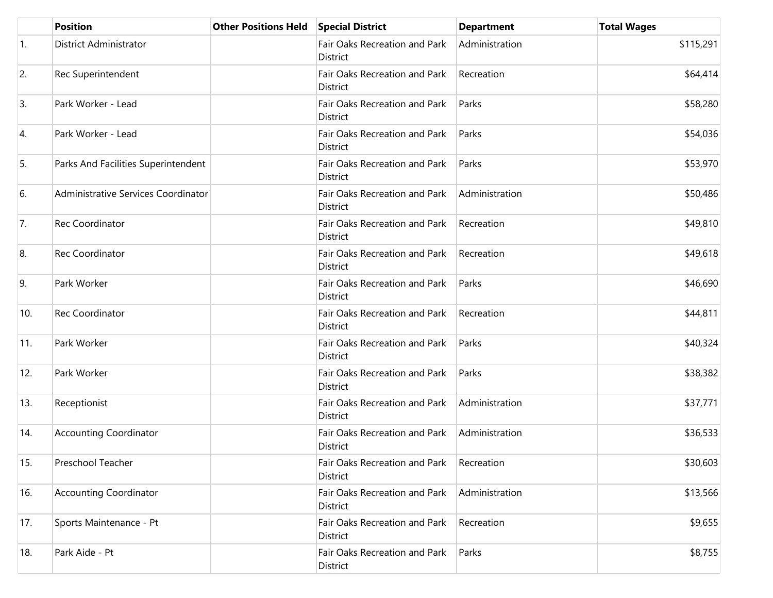|                  | <b>Position</b>                     | <b>Other Positions Held</b> | <b>Special District</b>                   | <b>Department</b> | <b>Total Wages</b> |
|------------------|-------------------------------------|-----------------------------|-------------------------------------------|-------------------|--------------------|
| $\overline{1}$ . | District Administrator              |                             | Fair Oaks Recreation and Park<br>District | Administration    | \$115,291          |
| 2.               | Rec Superintendent                  |                             | Fair Oaks Recreation and Park<br>District | Recreation        | \$64,414           |
| 3.               | Park Worker - Lead                  |                             | Fair Oaks Recreation and Park<br>District | Parks             | \$58,280           |
| 4.               | Park Worker - Lead                  |                             | Fair Oaks Recreation and Park<br>District | Parks             | \$54,036           |
| 5.               | Parks And Facilities Superintendent |                             | Fair Oaks Recreation and Park<br>District | Parks             | \$53,970           |
| 6.               | Administrative Services Coordinator |                             | Fair Oaks Recreation and Park<br>District | Administration    | \$50,486           |
| 7.               | Rec Coordinator                     |                             | Fair Oaks Recreation and Park<br>District | Recreation        | \$49,810           |
| 8.               | Rec Coordinator                     |                             | Fair Oaks Recreation and Park<br>District | Recreation        | \$49,618           |
| 9.               | Park Worker                         |                             | Fair Oaks Recreation and Park<br>District | Parks             | \$46,690           |
| 10.              | Rec Coordinator                     |                             | Fair Oaks Recreation and Park<br>District | Recreation        | \$44,811           |
| $ 11\rangle$     | Park Worker                         |                             | Fair Oaks Recreation and Park<br>District | Parks             | \$40,324           |
| 12.              | Park Worker                         |                             | Fair Oaks Recreation and Park<br>District | Parks             | \$38,382           |
| 13.              | Receptionist                        |                             | Fair Oaks Recreation and Park<br>District | Administration    | \$37,771           |
| 14.              | <b>Accounting Coordinator</b>       |                             | Fair Oaks Recreation and Park<br>District | Administration    | \$36,533           |
| 15.              | Preschool Teacher                   |                             | Fair Oaks Recreation and Park<br>District | Recreation        | \$30,603           |
| 16.              | <b>Accounting Coordinator</b>       |                             | Fair Oaks Recreation and Park<br>District | Administration    | \$13,566           |
| 17.              | Sports Maintenance - Pt             |                             | Fair Oaks Recreation and Park<br>District | Recreation        | \$9,655            |
| 18.              | Park Aide - Pt                      |                             | Fair Oaks Recreation and Park<br>District | Parks             | \$8,755            |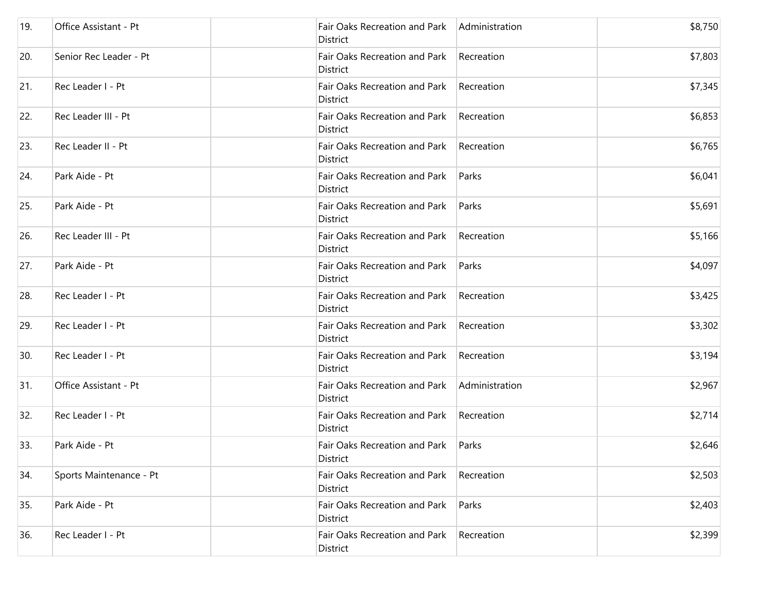| 19. | Office Assistant - Pt   | Fair Oaks Recreation and Park<br>District | Administration | \$8,750 |
|-----|-------------------------|-------------------------------------------|----------------|---------|
| 20. | Senior Rec Leader - Pt  | Fair Oaks Recreation and Park<br>District | Recreation     | \$7,803 |
| 21. | Rec Leader I - Pt       | Fair Oaks Recreation and Park<br>District | Recreation     | \$7,345 |
| 22. | Rec Leader III - Pt     | Fair Oaks Recreation and Park<br>District | Recreation     | \$6,853 |
| 23. | Rec Leader II - Pt      | Fair Oaks Recreation and Park<br>District | Recreation     | \$6,765 |
| 24. | Park Aide - Pt          | Fair Oaks Recreation and Park<br>District | Parks          | \$6,041 |
| 25. | Park Aide - Pt          | Fair Oaks Recreation and Park<br>District | Parks          | \$5,691 |
| 26. | Rec Leader III - Pt     | Fair Oaks Recreation and Park<br>District | Recreation     | \$5,166 |
| 27. | Park Aide - Pt          | Fair Oaks Recreation and Park<br>District | Parks          | \$4,097 |
| 28. | Rec Leader I - Pt       | Fair Oaks Recreation and Park<br>District | Recreation     | \$3,425 |
| 29. | Rec Leader I - Pt       | Fair Oaks Recreation and Park<br>District | Recreation     | \$3,302 |
| 30. | Rec Leader I - Pt       | Fair Oaks Recreation and Park<br>District | Recreation     | \$3,194 |
| 31. | Office Assistant - Pt   | Fair Oaks Recreation and Park<br>District | Administration | \$2,967 |
| 32. | Rec Leader I - Pt       | Fair Oaks Recreation and Park<br>District | Recreation     | \$2,714 |
| 33. | Park Aide - Pt          | Fair Oaks Recreation and Park<br>District | Parks          | \$2,646 |
| 34. | Sports Maintenance - Pt | Fair Oaks Recreation and Park<br>District | Recreation     | \$2,503 |
| 35. | Park Aide - Pt          | Fair Oaks Recreation and Park<br>District | Parks          | \$2,403 |
| 36. | Rec Leader I - Pt       | Fair Oaks Recreation and Park<br>District | Recreation     | \$2,399 |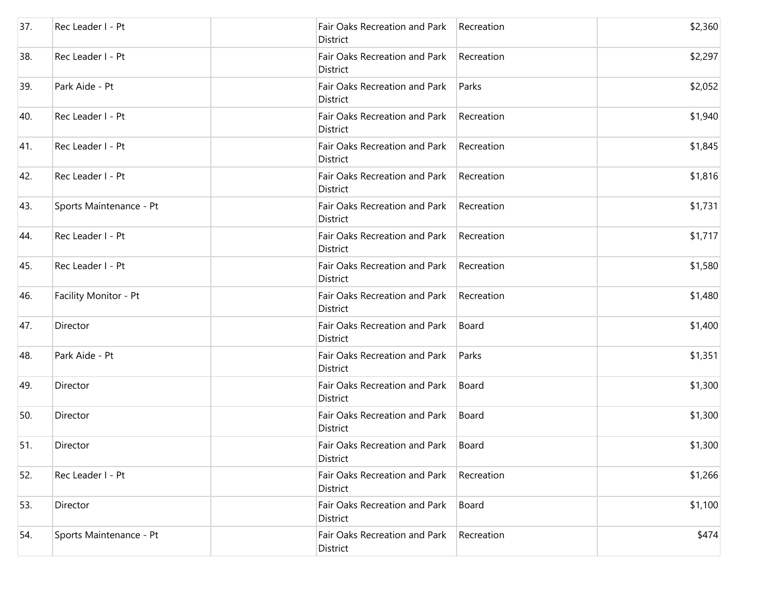| 37. | Rec Leader I - Pt       | Fair Oaks Recreation and Park<br>District        | Recreation | \$2,360 |
|-----|-------------------------|--------------------------------------------------|------------|---------|
| 38. | Rec Leader I - Pt       | Fair Oaks Recreation and Park<br>District        | Recreation | \$2,297 |
| 39. | Park Aide - Pt          | Fair Oaks Recreation and Park<br>District        | Parks      | \$2,052 |
| 40. | Rec Leader I - Pt       | Fair Oaks Recreation and Park<br>District        | Recreation | \$1,940 |
| 41. | Rec Leader I - Pt       | Fair Oaks Recreation and Park<br>District        | Recreation | \$1,845 |
| 42. | Rec Leader I - Pt       | Fair Oaks Recreation and Park<br>District        | Recreation | \$1,816 |
| 43. | Sports Maintenance - Pt | Fair Oaks Recreation and Park<br><b>District</b> | Recreation | \$1,731 |
| 44. | Rec Leader I - Pt       | Fair Oaks Recreation and Park<br>District        | Recreation | \$1,717 |
| 45. | Rec Leader I - Pt       | Fair Oaks Recreation and Park<br>District        | Recreation | \$1,580 |
| 46. | Facility Monitor - Pt   | Fair Oaks Recreation and Park<br>District        | Recreation | \$1,480 |
| 47. | Director                | Fair Oaks Recreation and Park<br>District        | Board      | \$1,400 |
| 48. | Park Aide - Pt          | Fair Oaks Recreation and Park<br>District        | Parks      | \$1,351 |
| 49. | Director                | Fair Oaks Recreation and Park<br>District        | Board      | \$1,300 |
| 50. | Director                | Fair Oaks Recreation and Park<br>District        | Board      | \$1,300 |
| 51. | Director                | Fair Oaks Recreation and Park<br>District        | Board      | \$1,300 |
| 52. | Rec Leader I - Pt       | Fair Oaks Recreation and Park<br>District        | Recreation | \$1,266 |
| 53. | Director                | Fair Oaks Recreation and Park<br>District        | Board      | \$1,100 |
| 54. | Sports Maintenance - Pt | Fair Oaks Recreation and Park<br>District        | Recreation | \$474   |